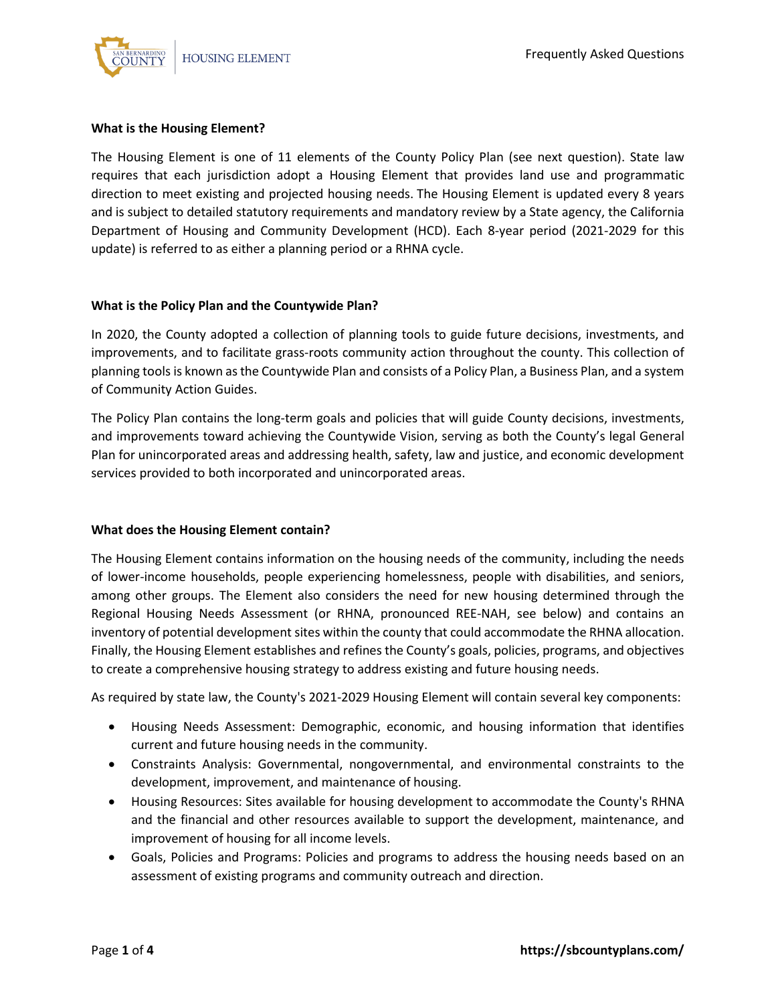

#### **What is the Housing Element?**

The Housing Element is one of 11 elements of the County Policy Plan (see next question). State law requires that each jurisdiction adopt a Housing Element that provides land use and programmatic direction to meet existing and projected housing needs. The Housing Element is updated every 8 years and is subject to detailed statutory requirements and mandatory review by a State agency, the California Department of Housing and Community Development (HCD). Each 8-year period (2021-2029 for this update) is referred to as either a planning period or a RHNA cycle.

#### **What is the Policy Plan and the Countywide Plan?**

In 2020, the County adopted a collection of planning tools to guide future decisions, investments, and improvements, and to facilitate grass-roots community action throughout the county. This collection of planning tools is known as the Countywide Plan and consists of a Policy Plan, a Business Plan, and a system of Community Action Guides.

The Policy Plan contains the long-term goals and policies that will guide County decisions, investments, and improvements toward achieving the Countywide Vision, serving as both the County's legal General Plan for unincorporated areas and addressing health, safety, law and justice, and economic development services provided to both incorporated and unincorporated areas.

### **What does the Housing Element contain?**

The Housing Element contains information on the housing needs of the community, including the needs of lower-income households, people experiencing homelessness, people with disabilities, and seniors, among other groups. The Element also considers the need for new housing determined through the Regional Housing Needs Assessment (or RHNA, pronounced REE-NAH, see below) and contains an inventory of potential development sites within the county that could accommodate the RHNA allocation. Finally, the Housing Element establishes and refines the County's goals, policies, programs, and objectives to create a comprehensive housing strategy to address existing and future housing needs.

As required by state law, the County's 2021-2029 Housing Element will contain several key components:

- Housing Needs Assessment: Demographic, economic, and housing information that identifies current and future housing needs in the community.
- Constraints Analysis: Governmental, nongovernmental, and environmental constraints to the development, improvement, and maintenance of housing.
- Housing Resources: Sites available for housing development to accommodate the County's RHNA and the financial and other resources available to support the development, maintenance, and improvement of housing for all income levels.
- Goals, Policies and Programs: Policies and programs to address the housing needs based on an assessment of existing programs and community outreach and direction.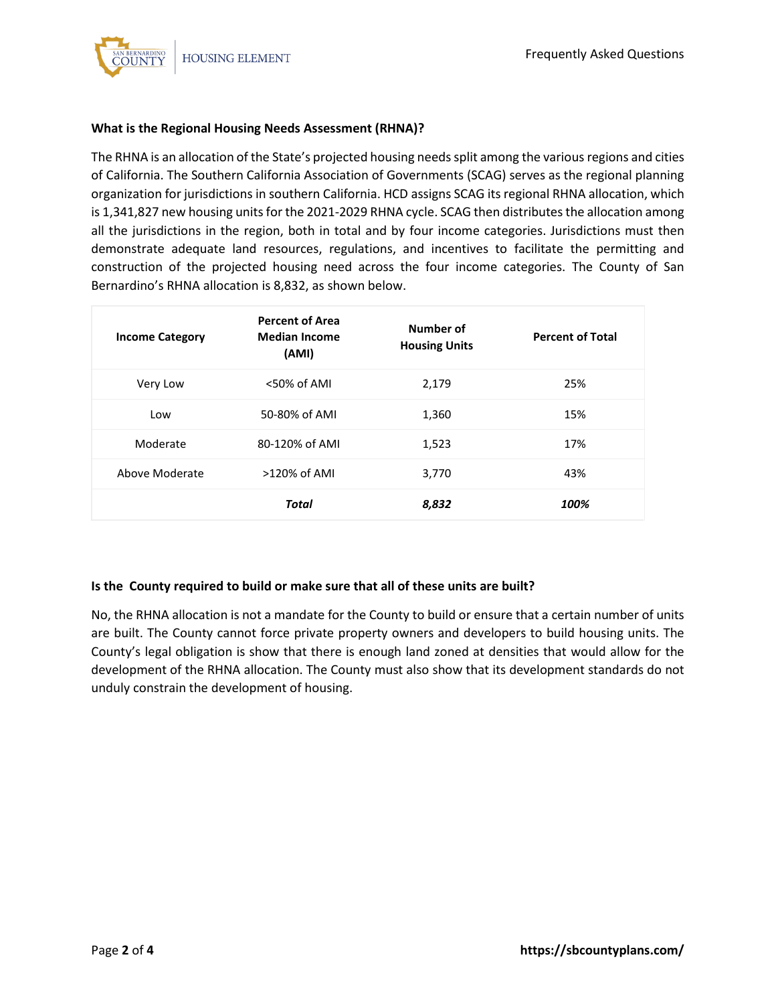

# **What is the Regional Housing Needs Assessment (RHNA)?**

The RHNA is an allocation of the State's projected housing needs split among the various regions and cities of California. The Southern California Association of Governments (SCAG) serves as the regional planning organization for jurisdictions in southern California. HCD assigns SCAG its regional RHNA allocation, which is 1,341,827 new housing units for the 2021-2029 RHNA cycle. SCAG then distributes the allocation among all the jurisdictions in the region, both in total and by four income categories. Jurisdictions must then demonstrate adequate land resources, regulations, and incentives to facilitate the permitting and construction of the projected housing need across the four income categories. The County of San Bernardino's RHNA allocation is 8,832, as shown below.

| <b>Income Category</b> | <b>Percent of Area</b><br><b>Median Income</b><br>(AMI) | Number of<br><b>Housing Units</b> | <b>Percent of Total</b> |
|------------------------|---------------------------------------------------------|-----------------------------------|-------------------------|
| Very Low               | <50% of AMI                                             | 2,179                             | 25%                     |
| Low                    | 50-80% of AMI                                           | 1,360                             | 15%                     |
| Moderate               | 80-120% of AMI                                          | 1,523                             | 17%                     |
| Above Moderate         | $>120\%$ of AMI                                         | 3,770                             | 43%                     |
|                        | <b>Total</b>                                            | 8,832                             | 100%                    |

### **Is the County required to build or make sure that all of these units are built?**

No, the RHNA allocation is not a mandate for the County to build or ensure that a certain number of units are built. The County cannot force private property owners and developers to build housing units. The County's legal obligation is show that there is enough land zoned at densities that would allow for the development of the RHNA allocation. The County must also show that its development standards do not unduly constrain the development of housing.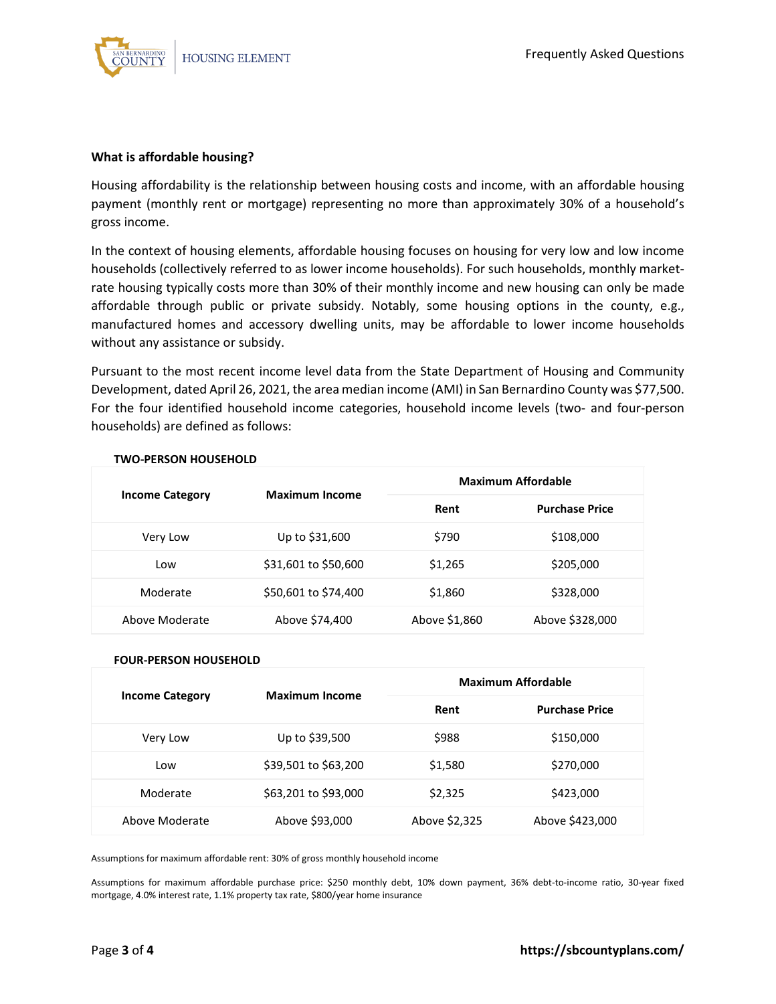

#### **What is affordable housing?**

Housing affordability is the relationship between housing costs and income, with an affordable housing payment (monthly rent or mortgage) representing no more than approximately 30% of a household's gross income.

In the context of housing elements, affordable housing focuses on housing for very low and low income households (collectively referred to as lower income households). For such households, monthly marketrate housing typically costs more than 30% of their monthly income and new housing can only be made affordable through public or private subsidy. Notably, some housing options in the county, e.g., manufactured homes and accessory dwelling units, may be affordable to lower income households without any assistance or subsidy.

Pursuant to the most recent income level data from the State Department of Housing and Community Development, dated April 26, 2021, the area median income (AMI) in San Bernardino County was \$77,500. For the four identified household income categories, household income levels (two- and four-person households) are defined as follows:

| <b>Income Category</b> | <b>Maximum Income</b> | Maximum Affordable |                       |
|------------------------|-----------------------|--------------------|-----------------------|
|                        |                       | Rent               | <b>Purchase Price</b> |
| Very Low               | Up to \$31,600        | \$790              | \$108,000             |
| Low                    | \$31,601 to \$50,600  | \$1,265            | \$205,000             |
| Moderate               | \$50,601 to \$74,400  | \$1,860            | \$328,000             |
| Above Moderate         | Above \$74,400        | Above \$1,860      | Above \$328,000       |

#### **TWO-PERSON HOUSEHOLD**

#### **FOUR-PERSON HOUSEHOLD**

| <b>Income Category</b> | <b>Maximum Income</b> | <b>Maximum Affordable</b> |                       |
|------------------------|-----------------------|---------------------------|-----------------------|
|                        |                       | Rent                      | <b>Purchase Price</b> |
| Very Low               | Up to \$39,500        | \$988                     | \$150,000             |
| Low                    | \$39,501 to \$63,200  | \$1,580                   | \$270,000             |
| Moderate               | \$63,201 to \$93,000  | \$2,325                   | \$423,000             |
| Above Moderate         | Above \$93,000        | Above \$2,325             | Above \$423,000       |

Assumptions for maximum affordable rent: 30% of gross monthly household income

Assumptions for maximum affordable purchase price: \$250 monthly debt, 10% down payment, 36% debt-to-income ratio, 30-year fixed mortgage, 4.0% interest rate, 1.1% property tax rate, \$800/year home insurance